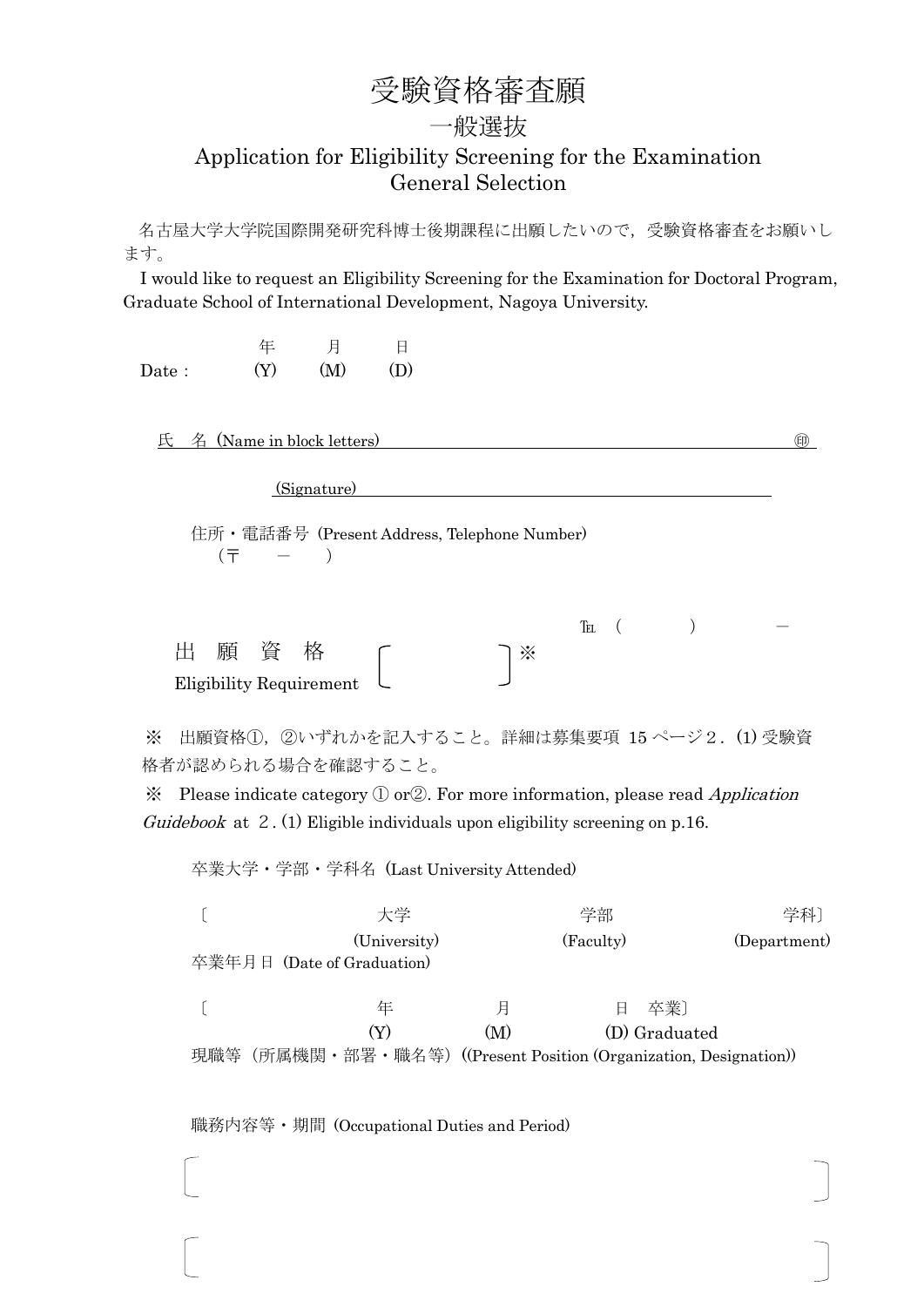### 受験資格審査願

#### 一般選抜

#### Application for Eligibility Screening for the Examination General Selection

名古屋大学大学院国際開発研究科博士後期課程に出願したいので,受験資格審査をお願いし ます。

I would like to request an Eligibility Screening for the Examination for Doctoral Program, Graduate School of International Development, Nagoya University.

|       | 年   | 月   |     |
|-------|-----|-----|-----|
| Date: | (Y) | (M) | (D) |

氏 名 (Name in block letters) ㊞

(Signature)

住所・電話番号 (Present Address, Telephone Number)  $(\bar{T} - )$ 

|      |   |     |                                |  |    | Tel |  |  |
|------|---|-----|--------------------------------|--|----|-----|--|--|
| ्राम | 願 | - 資 |                                |  | ∕∙ |     |  |  |
|      |   |     | Eligibility Requirement $\Box$ |  |    |     |  |  |

※ 出願資格①,②いずれかを記入すること。詳細は募集要項 15 ページ2.(1) 受験資 格者が認められる場合を確認すること。

 $\mathcal X$  Please indicate category  $\mathbb D$  or  $\mathbb Z$ . For more information, please read *Application* Guidebook at 2. (1) Eligible individuals upon eligibility screening on p.16.

卒業大学・学部・学科名 (Last University Attended)

|     | 大学                                                            |     | 学部        |               |              |  |
|-----|---------------------------------------------------------------|-----|-----------|---------------|--------------|--|
|     | (University)<br>卒業年月日 (Date of Graduation)                    |     | (Faculty) |               | (Department) |  |
|     | 年                                                             | 月   | 日         | 卒業]           |              |  |
|     | (Y)                                                           | (M) |           | (D) Graduated |              |  |
| 現職等 | (所属機関・部署・職名等) ((Present Position (Organization, Designation)) |     |           |               |              |  |

職務内容等・期間 (Occupational Duties and Period)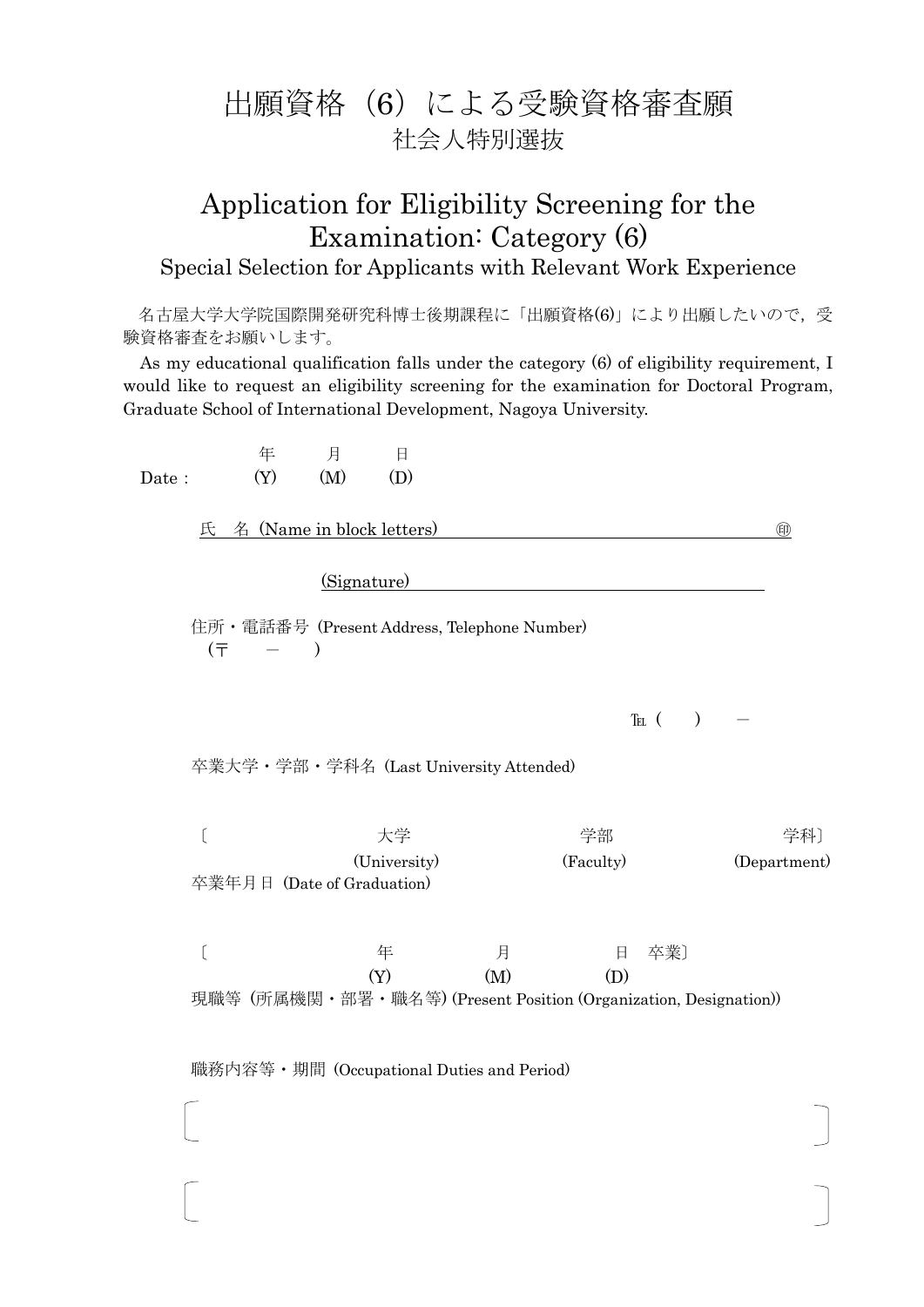## 出願資格(6)による受験資格審査願 社会人特別選抜

# Application for Eligibility Screening for the Examination: Category (6)

#### Special Selection for Applicants with Relevant Work Experience

名古屋大学大学院国際開発研究科博士後期課程に「出願資格(6)」により出願したいので、受 験資格審査をお願いします。

As my educational qualification falls under the category (6) of eligibility requirement, I would like to request an eligibility screening for the examination for Doctoral Program, Graduate School of International Development, Nagoya University.

 年 月 日 Date:  $(Y)$   $(M)$   $(D)$ 

氏 名 (Name in block letters) ㊞

(Signature)

住所・電話番号 (Present Address, Telephone Number)  $(\bar{T} - )$ 

 $\text{TEL}$  ( )

卒業大学・学部・学科名 (Last University Attended)

〔 学部 学科〕 (University) (Faculty) (Department) 卒業年月日 (Date of Graduation)

〔 年 月 日 卒業〕  $(Y)$   $(M)$   $(D)$ 

現職等 (所属機関・部署・職名等) (Present Position (Organization, Designation))

職務内容等・期間 (Occupational Duties and Period)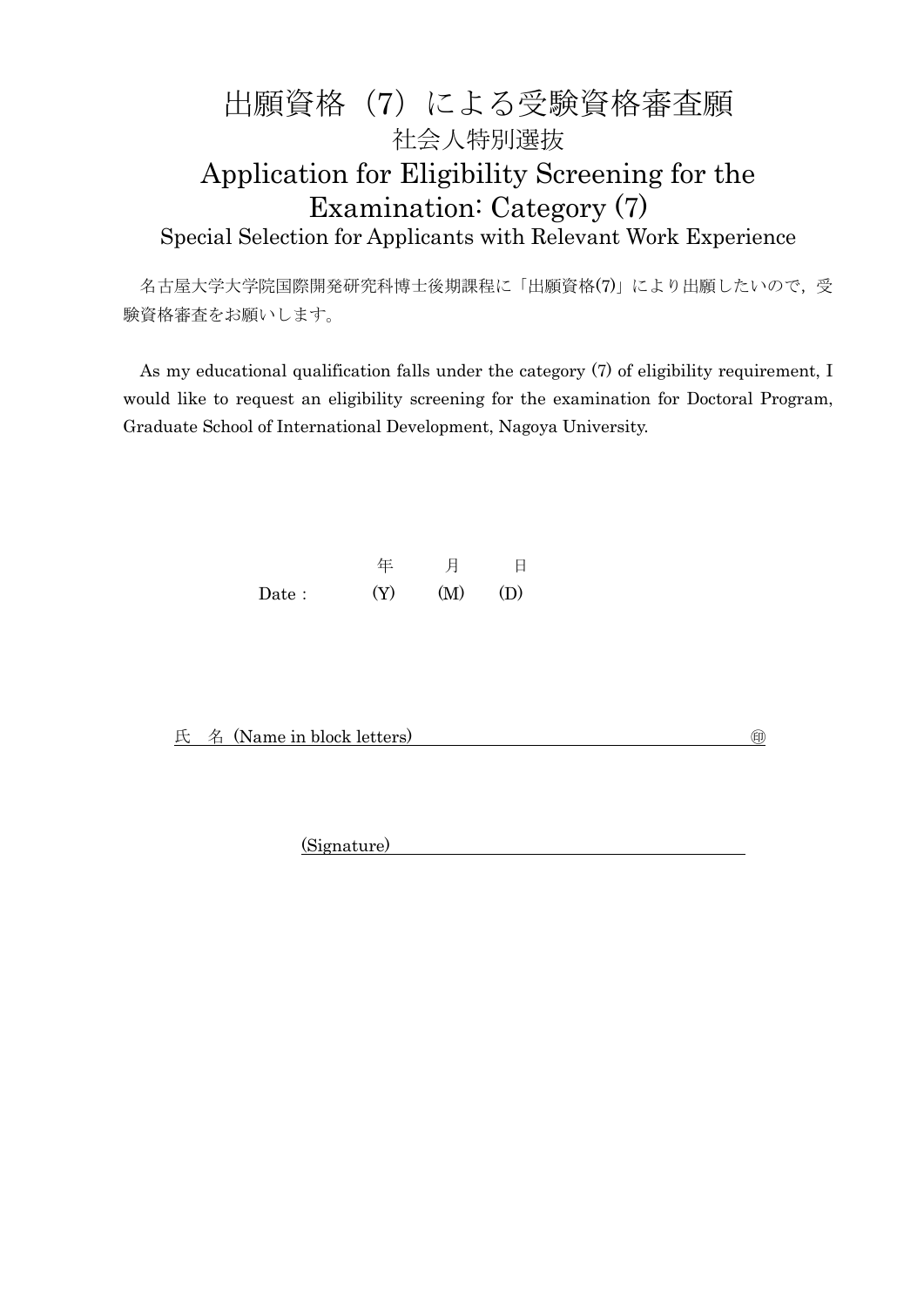### 出願資格(7)による受験資格審査願 社会人特別選抜 Application for Eligibility Screening for the Examination: Category (7) Special Selection for Applicants with Relevant Work Experience

名古屋大学大学院国際開発研究科博士後期課程に「出願資格(7)」により出願したいので、受 験資格審査をお願いします。

As my educational qualification falls under the category (7) of eligibility requirement, I would like to request an eligibility screening for the examination for Doctoral Program, Graduate School of International Development, Nagoya University.

|       |     | 月   |     |
|-------|-----|-----|-----|
| Date: | (Y) | (M) | (D) |

氏 名 (Name in block letters) ㊞

(Signature)